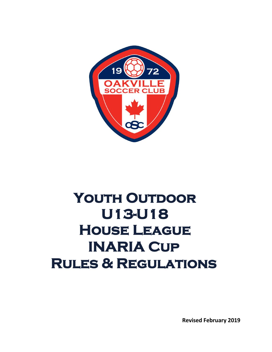

# YOUTH OUTDOOR **U13-U18 House League INARIA Cup Rules & Regulations**

**Revised February 2019**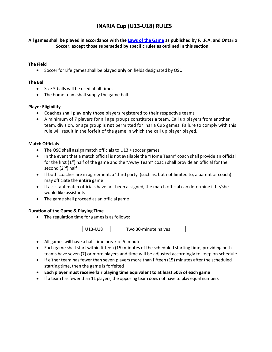# **INARIA Cup (U13-U18) RULES**

**All games shall be played in accordance with the Laws [of the](http://www.theifab.com/#!/laws) Game as published by F.I.F.A. and Ontario Soccer, except those superseded by specific rules as outlined in this section.** 

#### **The Field**

• Soccer for Life games shall be played **only** on fields designated by OSC

#### **The Ball**

- Size 5 balls will be used at all times
- The home team shall supply the game ball

#### **Player Eligibility**

- Coaches shall play **only** those players registered to their respective teams
- A minimum of 7 players for all age groups constitutes a team. Call up players from another team, division, or age group is **not** permitted for Inaria Cup games. Failure to comply with this rule will result in the forfeit of the game in which the call up player played.

#### **Match Officials**

- The OSC shall assign match officials to U13 + soccer games
- In the event that a match official is not available the "Home Team" coach shall provide an official for the first (1<sup>st</sup>) half of the game and the "Away Team" coach shall provide an official for the second (2<sup>nd</sup>) half
- If both coaches are in agreement, a 'third party' (such as, but not limited to, a parent or coach) may officiate the **entire** game
- If assistant match officials have not been assigned, the match official can determine if he/she would like assistants
- The game shall proceed as an official game

#### **Duration of the Game & Playing Time**

• The regulation time for games is as follows:



- All games will have a half-time break of 5 minutes.
- Each game shall start within fifteen (15) minutes of the scheduled starting time, providing both teams have seven (7) or more players and time will be adjusted accordingly to keep on schedule.
- If either team has fewer than seven players more than fifteen (15) minutes after the scheduled starting time, then the game is forfeited
- **Each player must receive fair playing time equivalent to at least 50% of each game**
- If a team has fewer than 11 players, the opposing team does not have to play equal numbers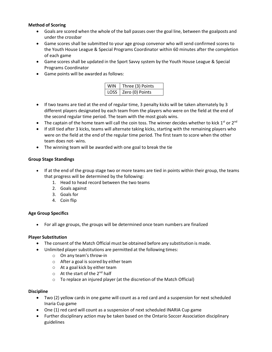# **Method of Scoring**

- Goals are scored when the whole of the ball passes over the goal line, between the goalposts and under the crossbar
- Game scores shall be submitted to your age group convenor who will send confirmed scores to the Youth House League & Special Programs Coordinator within 60 minutes after the completion of each game
- Game scores shall be updated in the Sport Savvy system by the Youth House League & Special Programs Coordinator
- Game points will be awarded as follows:

| WIN   Three (3) Points |
|------------------------|
| LOSS Zero (0) Points   |

- If two teams are tied at the end of regular time, 3 penalty kicks will be taken alternately by 3 different players designated by each team from the players who were on the field at the end of the second regular time period. The team with the most goals wins.
- The captain of the home team will call the coin toss. The winner decides whether to kick  $1^{st}$  or  $2^{nd}$
- If still tied after 3 kicks, teams will alternate taking kicks, starting with the remaining players who were on the field at the end of the regular time period. The first team to score when the other team does not- wins.
- The winning team will be awarded with one goal to break the tie

# **Group Stage Standings**

- If at the end of the group stage two or more teams are tied in points within their group, the teams that progress will be determined by the following:
	- 1. Head to head record between the two teams
	- 2. Goals against
	- 3. Goals for
	- 4. Coin flip

#### **Age Group Specifics**

• For all age groups, the groups will be determined once team numbers are finalized

#### **Player Substitution**

- The consent of the Match Official must be obtained before any substitution is made.
- Unlimited player substitutions are permitted at the following times:
	- o On any team's throw-in
	- o After a goal is scored by either team
	- o At a goal kick by either team
	- o At the start of the 2<sup>nd</sup> half
	- o To replace an injured player (at the discretion of the Match Official)

#### **Discipline**

- Two (2) yellow cards in one game will count as a red card and a suspension for next scheduled Inaria Cup game
- One (1) red card will count as a suspension of next scheduled INARIA Cup game
- Further disciplinary action may be taken based on the Ontario Soccer Association disciplinary guidelines